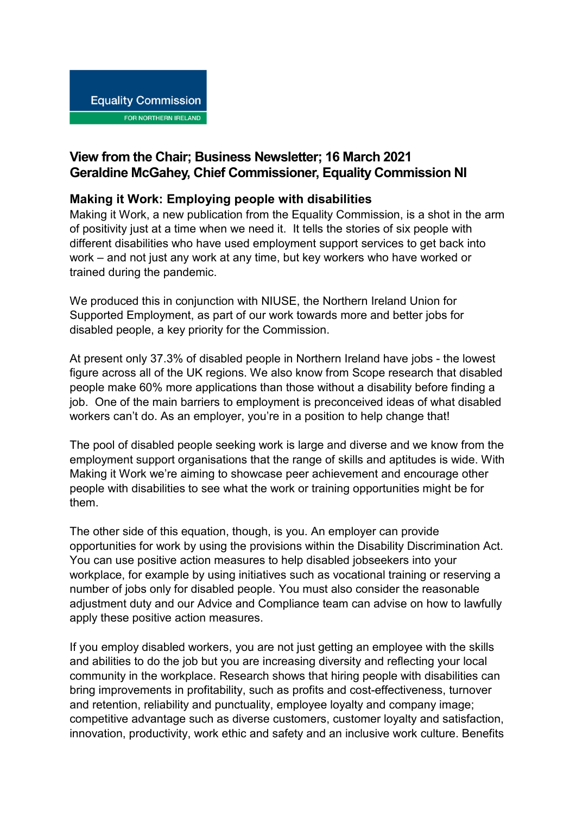## **View from the Chair; Business Newsletter; 16 March 2021 Geraldine McGahey, Chief Commissioner, Equality Commission NI**

## **Making it Work: Employing people with disabilities**

Making it Work, a new publication from the Equality Commission, is a shot in the arm of positivity just at a time when we need it. It tells the stories of six people with different disabilities who have used employment support services to get back into work – and not just any work at any time, but key workers who have worked or trained during the pandemic.

We produced this in conjunction with NIUSE, the Northern Ireland Union for Supported Employment, as part of our work towards more and better jobs for disabled people, a key priority for the Commission.

At present only 37.3% of disabled people in Northern Ireland have jobs - the lowest figure across all of the UK regions. We also know from Scope research that disabled people make 60% more applications than those without a disability before finding a job. One of the main barriers to employment is preconceived ideas of what disabled workers can't do. As an employer, you're in a position to help change that!

The pool of disabled people seeking work is large and diverse and we know from the employment support organisations that the range of skills and aptitudes is wide. With Making it Work we're aiming to showcase peer achievement and encourage other people with disabilities to see what the work or training opportunities might be for them.

The other side of this equation, though, is you. An employer can provide opportunities for work by using the provisions within the Disability Discrimination Act. You can use positive action measures to help disabled jobseekers into your workplace, for example by using initiatives such as vocational training or reserving a number of jobs only for disabled people. You must also consider the reasonable adjustment duty and our Advice and Compliance team can advise on how to lawfully apply these positive action measures.

If you employ disabled workers, you are not just getting an employee with the skills and abilities to do the job but you are increasing diversity and reflecting your local community in the workplace. Research shows that hiring people with disabilities can bring improvements in profitability, such as profits and cost-effectiveness, turnover and retention, reliability and punctuality, employee loyalty and company image; competitive advantage such as diverse customers, customer loyalty and satisfaction, innovation, productivity, work ethic and safety and an inclusive work culture. Benefits